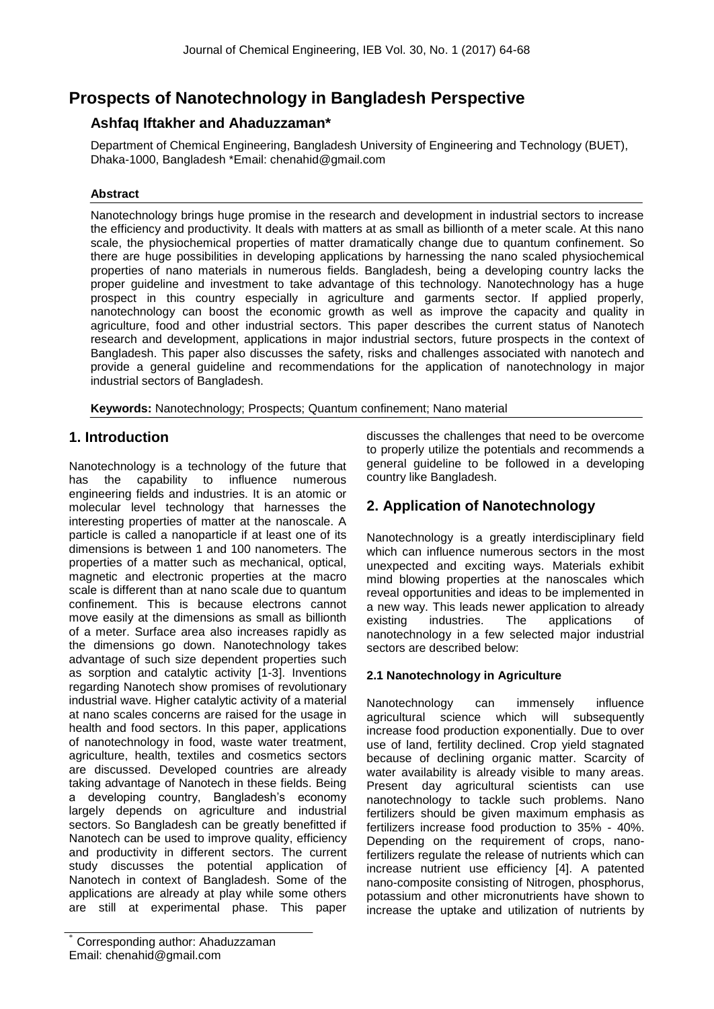# **Prospects of Nanotechnology in Bangladesh Perspective**

## **Ashfaq Iftakher and Ahaduzzaman\***

Department of Chemical Engineering, Bangladesh University of Engineering and Technology (BUET), Dhaka-1000, Bangladesh \*Email: chenahid@gmail.com

## **Abstract**

Nanotechnology brings huge promise in the research and development in industrial sectors to increase the efficiency and productivity. It deals with matters at as small as billionth of a meter scale. At this nano scale, the physiochemical properties of matter dramatically change due to quantum confinement. So there are huge possibilities in developing applications by harnessing the nano scaled physiochemical properties of nano materials in numerous fields. Bangladesh, being a developing country lacks the proper guideline and investment to take advantage of this technology. Nanotechnology has a huge prospect in this country especially in agriculture and garments sector. If applied properly, nanotechnology can boost the economic growth as well as improve the capacity and quality in agriculture, food and other industrial sectors. This paper describes the current status of Nanotech research and development, applications in major industrial sectors, future prospects in the context of Bangladesh. This paper also discusses the safety, risks and challenges associated with nanotech and provide a general guideline and recommendations for the application of nanotechnology in major industrial sectors of Bangladesh.

**Keywords:** Nanotechnology; Prospects; Quantum confinement; Nano material

## **1. Introduction**

Nanotechnology is a technology of the future that has the capability to influence numerous engineering fields and industries. It is an atomic or molecular level technology that harnesses the interesting properties of matter at the nanoscale. A particle is called a nanoparticle if at least one of its dimensions is between 1 and 100 nanometers. The properties of a matter such as mechanical, optical, magnetic and electronic properties at the macro scale is different than at nano scale due to quantum confinement. This is because electrons cannot move easily at the dimensions as small as billionth of a meter. Surface area also increases rapidly as the dimensions go down. Nanotechnology takes advantage of such size dependent properties such as sorption and catalytic activity [1-3]. Inventions regarding Nanotech show promises of revolutionary industrial wave. Higher catalytic activity of a material at nano scales concerns are raised for the usage in health and food sectors. In this paper, applications of nanotechnology in food, waste water treatment, agriculture, health, textiles and cosmetics sectors are discussed. Developed countries are already taking advantage of Nanotech in these fields. Being a developing country, Bangladesh's economy largely depends on agriculture and industrial sectors. So Bangladesh can be greatly benefitted if Nanotech can be used to improve quality, efficiency and productivity in different sectors. The current study discusses the potential application of Nanotech in context of Bangladesh. Some of the applications are already at play while some others are still at experimental phase. This paper discusses the challenges that need to be overcome to properly utilize the potentials and recommends a general guideline to be followed in a developing country like Bangladesh.

## **2. Application of Nanotechnology**

Nanotechnology is a greatly interdisciplinary field which can influence numerous sectors in the most unexpected and exciting ways. Materials exhibit mind blowing properties at the nanoscales which reveal opportunities and ideas to be implemented in a new way. This leads newer application to already existing industries. The applications of nanotechnology in a few selected major industrial sectors are described below:

## **2.1 Nanotechnology in Agriculture**

Nanotechnology can immensely influence agricultural science which will subsequently increase food production exponentially. Due to over use of land, fertility declined. Crop yield stagnated because of declining organic matter. Scarcity of water availability is already visible to many areas. Present day agricultural scientists can use nanotechnology to tackle such problems. Nano fertilizers should be given maximum emphasis as fertilizers increase food production to 35% - 40%. Depending on the requirement of crops, nanofertilizers regulate the release of nutrients which can increase nutrient use efficiency [4]. A patented nano-composite consisting of Nitrogen, phosphorus, potassium and other micronutrients have shown to increase the uptake and utilization of nutrients by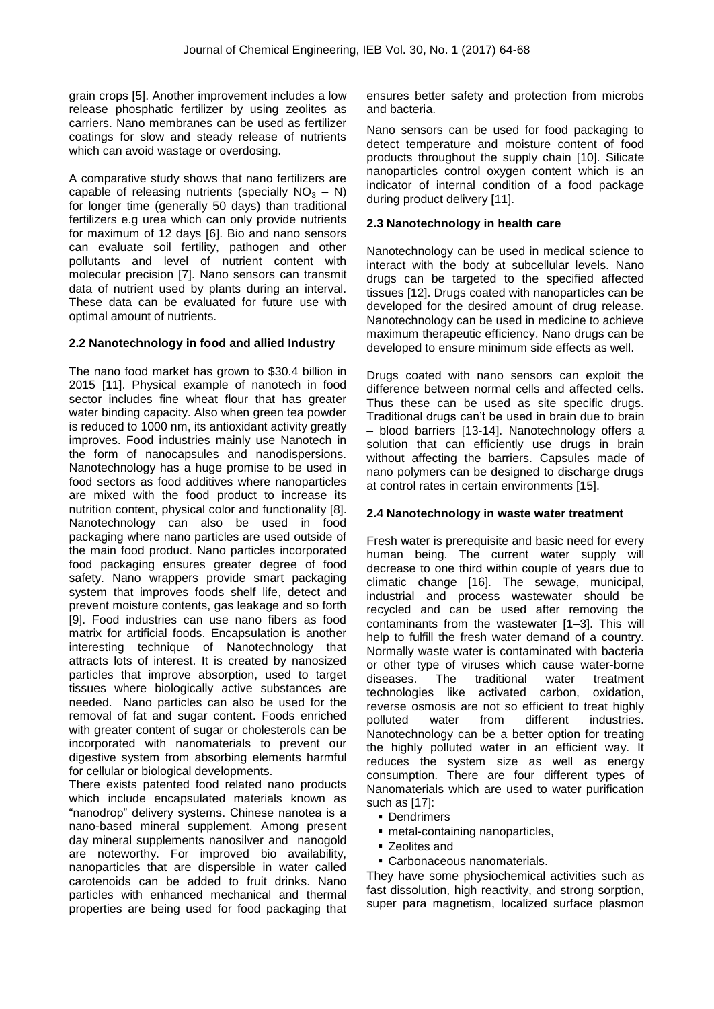grain crops [5]. Another improvement includes a low release phosphatic fertilizer by using zeolites as carriers. Nano membranes can be used as fertilizer coatings for slow and steady release of nutrients which can avoid wastage or overdosing.

A comparative study shows that nano fertilizers are capable of releasing nutrients (specially  $NO<sub>2</sub> - N$ ) for longer time (generally 50 days) than traditional fertilizers e.g urea which can only provide nutrients for maximum of 12 days [6]. Bio and nano sensors can evaluate soil fertility, pathogen and other pollutants and level of nutrient content with molecular precision [7]. Nano sensors can transmit data of nutrient used by plants during an interval. These data can be evaluated for future use with optimal amount of nutrients.

#### **2.2 Nanotechnology in food and allied Industry**

The nano food market has grown to \$30.4 billion in 2015 [11]. Physical example of nanotech in food sector includes fine wheat flour that has greater water binding capacity. Also when green tea powder is reduced to 1000 nm, its antioxidant activity greatly improves. Food industries mainly use Nanotech in the form of nanocapsules and nanodispersions. Nanotechnology has a huge promise to be used in food sectors as food additives where nanoparticles are mixed with the food product to increase its nutrition content, physical color and functionality [8]. Nanotechnology can also be used in food packaging where nano particles are used outside of the main food product. Nano particles incorporated food packaging ensures greater degree of food safety. Nano wrappers provide smart packaging system that improves foods shelf life, detect and prevent moisture contents, gas leakage and so forth [9]. Food industries can use nano fibers as food matrix for artificial foods. Encapsulation is another interesting technique of Nanotechnology that attracts lots of interest. It is created by nanosized particles that improve absorption, used to target tissues where biologically active substances are needed. Nano particles can also be used for the removal of fat and sugar content. Foods enriched with greater content of sugar or cholesterols can be incorporated with nanomaterials to prevent our digestive system from absorbing elements harmful for cellular or biological developments.

There exists patented food related nano products which include encapsulated materials known as "nanodrop" delivery systems. Chinese nanotea is a nano-based mineral supplement. Among present day mineral supplements nanosilver and nanogold are noteworthy. For improved bio availability, nanoparticles that are dispersible in water called carotenoids can be added to fruit drinks. Nano particles with enhanced mechanical and thermal properties are being used for food packaging that ensures better safety and protection from microbs and bacteria.

Nano sensors can be used for food packaging to detect temperature and moisture content of food products throughout the supply chain [10]. Silicate nanoparticles control oxygen content which is an indicator of internal condition of a food package during product delivery [11].

### **2.3 Nanotechnology in health care**

Nanotechnology can be used in medical science to interact with the body at subcellular levels. Nano drugs can be targeted to the specified affected tissues [12]. Drugs coated with nanoparticles can be developed for the desired amount of drug release. Nanotechnology can be used in medicine to achieve maximum therapeutic efficiency. Nano drugs can be developed to ensure minimum side effects as well.

Drugs coated with nano sensors can exploit the difference between normal cells and affected cells. Thus these can be used as site specific drugs. Traditional drugs can"t be used in brain due to brain – blood barriers [13-14]. Nanotechnology offers a solution that can efficiently use drugs in brain without affecting the barriers. Capsules made of nano polymers can be designed to discharge drugs at control rates in certain environments [15].

#### **2.4 Nanotechnology in waste water treatment**

Fresh water is prerequisite and basic need for every human being. The current water supply will decrease to one third within couple of years due to climatic change [16]. The sewage, municipal, industrial and process wastewater should be recycled and can be used after removing the contaminants from the wastewater [1–3]. This will help to fulfill the fresh water demand of a country. Normally waste water is contaminated with bacteria or other type of viruses which cause water-borne diseases. The traditional water treatment technologies like activated carbon, oxidation, reverse osmosis are not so efficient to treat highly polluted water from different industries. Nanotechnology can be a better option for treating the highly polluted water in an efficient way. It reduces the system size as well as energy consumption. There are four different types of Nanomaterials which are used to water purification such as [17]:

- Dendrimers
- metal-containing nanoparticles,
- **EXEC** 2 Leolites and
- Carbonaceous nanomaterials.

They have some physiochemical activities such as fast dissolution, high reactivity, and strong sorption, super para magnetism, localized surface plasmon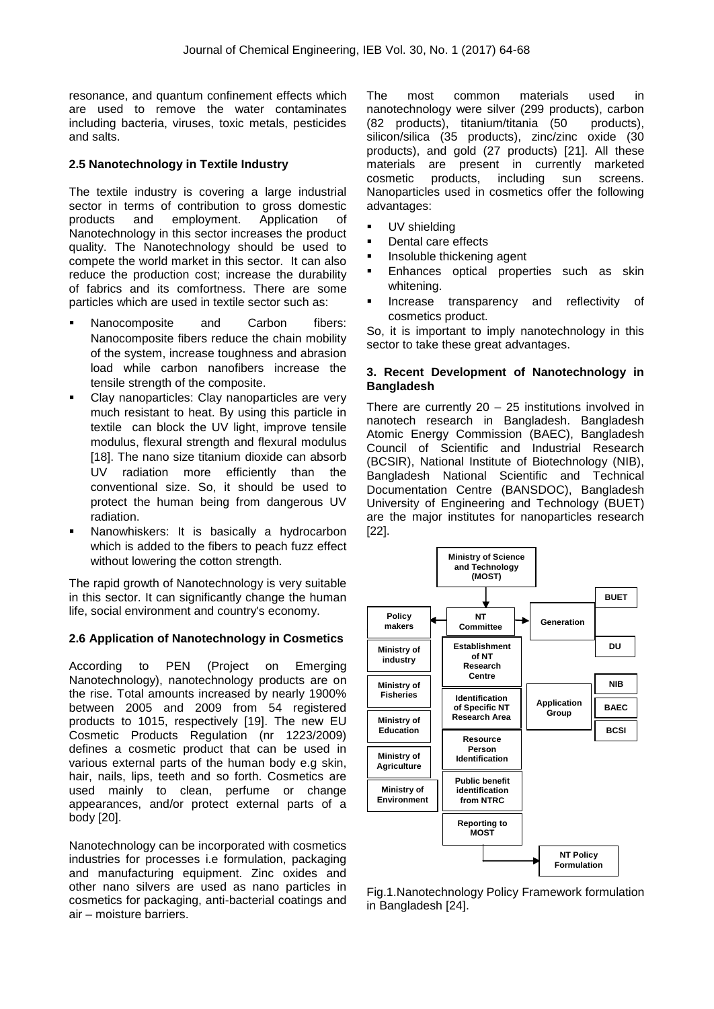resonance, and quantum confinement effects which are used to remove the water contaminates including bacteria, viruses, toxic metals, pesticides and salts.

#### **2.5 Nanotechnology in Textile Industry**

The textile industry is covering a large industrial sector in terms of contribution to gross domestic products and employment. Application of Nanotechnology in this sector increases the product quality. The Nanotechnology should be used to compete the world market in this sector. It can also reduce the production cost; increase the durability of fabrics and its comfortness. There are some particles which are used in textile sector such as:

- Nanocomposite and Carbon fibers: Nanocomposite fibers reduce the chain mobility of the system, increase toughness and abrasion load while carbon nanofibers increase the tensile strength of the composite.
- Clay nanoparticles: Clay nanoparticles are very much resistant to heat. By using this particle in textile can block the UV light, improve tensile modulus, flexural strength and flexural modulus [18]. The nano size titanium dioxide can absorb UV radiation more efficiently than the conventional size. So, it should be used to protect the human being from dangerous UV radiation.
- Nanowhiskers: It is basically a hydrocarbon which is added to the fibers to peach fuzz effect without lowering the cotton strength.

The rapid growth of Nanotechnology is very suitable in this sector. It can significantly change the human life, social environment and country's economy.

#### **2.6 Application of Nanotechnology in Cosmetics**

According to PEN (Project on Emerging Nanotechnology), nanotechnology products are on the rise. Total amounts increased by nearly 1900% between 2005 and 2009 from 54 registered products to 1015, respectively [19]. The new EU Cosmetic Products Regulation (nr 1223/2009) defines a cosmetic product that can be used in various external parts of the human body e.g skin, hair, nails, lips, teeth and so forth. Cosmetics are used mainly to clean, perfume or change appearances, and/or protect external parts of a body [20].

Nanotechnology can be incorporated with cosmetics industries for processes i.e formulation, packaging and manufacturing equipment. Zinc oxides and other nano silvers are used as nano particles in cosmetics for packaging, anti-bacterial coatings and air – moisture barriers.

The most common materials used in nanotechnology were silver (299 products), carbon (82 products), titanium/titania (50 products), silicon/silica (35 products), zinc/zinc oxide (30 products), and gold (27 products) [21]. All these materials are present in currently marketed cosmetic products, including sun screens. Nanoparticles used in cosmetics offer the following advantages:

- UV shielding
- Dental care effects
- Insoluble thickening agent
- **Enhances optical properties such as skin** whitening.
- Increase transparency and reflectivity of cosmetics product.

So, it is important to imply nanotechnology in this sector to take these great advantages.

#### **3. Recent Development of Nanotechnology in Bangladesh**

There are currently 20 – 25 institutions involved in nanotech research in Bangladesh. Bangladesh Atomic Energy Commission (BAEC), Bangladesh Council of Scientific and Industrial Research (BCSIR), National Institute of Biotechnology (NIB), Bangladesh National Scientific and Technical Documentation Centre (BANSDOC), Bangladesh University of Engineering and Technology (BUET) are the major institutes for nanoparticles research [22].



Fig.1.Nanotechnology Policy Framework formulation in Bangladesh [24].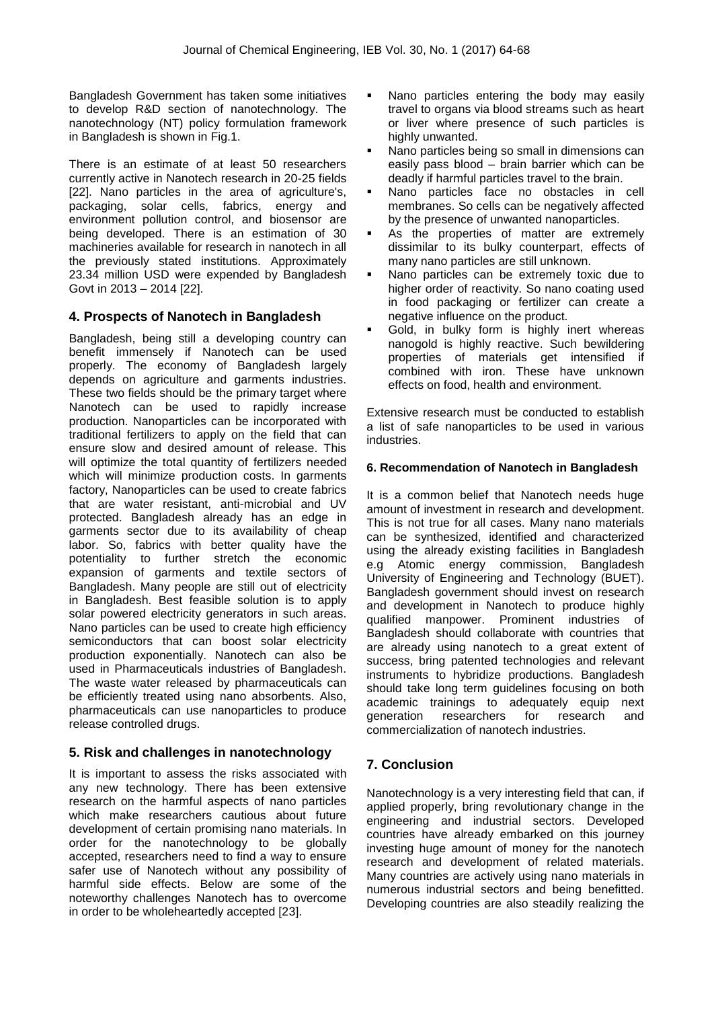Bangladesh Government has taken some initiatives to develop R&D section of nanotechnology. The nanotechnology (NT) policy formulation framework in Bangladesh is shown in Fig.1.

There is an estimate of at least 50 researchers currently active in Nanotech research in 20-25 fields [22]. Nano particles in the area of agriculture's, packaging, solar cells, fabrics, energy and environment pollution control, and biosensor are being developed. There is an estimation of 30 machineries available for research in nanotech in all the previously stated institutions. Approximately 23.34 million USD were expended by Bangladesh Govt in 2013 – 2014 [22].

## **4. Prospects of Nanotech in Bangladesh**

Bangladesh, being still a developing country can benefit immensely if Nanotech can be used properly. The economy of Bangladesh largely depends on agriculture and garments industries. These two fields should be the primary target where Nanotech can be used to rapidly increase production. Nanoparticles can be incorporated with traditional fertilizers to apply on the field that can ensure slow and desired amount of release. This will optimize the total quantity of fertilizers needed which will minimize production costs. In garments factory, Nanoparticles can be used to create fabrics that are water resistant, anti-microbial and UV protected. Bangladesh already has an edge in garments sector due to its availability of cheap labor. So, fabrics with better quality have the potentiality to further stretch the economic expansion of garments and textile sectors of Bangladesh. Many people are still out of electricity in Bangladesh. Best feasible solution is to apply solar powered electricity generators in such areas. Nano particles can be used to create high efficiency semiconductors that can boost solar electricity production exponentially. Nanotech can also be used in Pharmaceuticals industries of Bangladesh. The waste water released by pharmaceuticals can be efficiently treated using nano absorbents. Also, pharmaceuticals can use nanoparticles to produce release controlled drugs.

## **5. Risk and challenges in nanotechnology**

It is important to assess the risks associated with any new technology. There has been extensive research on the harmful aspects of nano particles which make researchers cautious about future development of certain promising nano materials. In order for the nanotechnology to be globally accepted, researchers need to find a way to ensure safer use of Nanotech without any possibility of harmful side effects. Below are some of the noteworthy challenges Nanotech has to overcome in order to be wholeheartedly accepted [23].

- Nano particles entering the body may easily travel to organs via blood streams such as heart or liver where presence of such particles is highly unwanted.
- Nano particles being so small in dimensions can easily pass blood – brain barrier which can be deadly if harmful particles travel to the brain.
- Nano particles face no obstacles in cell membranes. So cells can be negatively affected by the presence of unwanted nanoparticles.
- As the properties of matter are extremely dissimilar to its bulky counterpart, effects of many nano particles are still unknown.
- Nano particles can be extremely toxic due to higher order of reactivity. So nano coating used in food packaging or fertilizer can create a negative influence on the product.
- Gold, in bulky form is highly inert whereas nanogold is highly reactive. Such bewildering properties of materials get intensified if combined with iron. These have unknown effects on food, health and environment.

Extensive research must be conducted to establish a list of safe nanoparticles to be used in various industries.

#### **6. Recommendation of Nanotech in Bangladesh**

It is a common belief that Nanotech needs huge amount of investment in research and development. This is not true for all cases. Many nano materials can be synthesized, identified and characterized using the already existing facilities in Bangladesh e.g Atomic energy commission, Bangladesh University of Engineering and Technology (BUET). Bangladesh government should invest on research and development in Nanotech to produce highly qualified manpower. Prominent industries of Bangladesh should collaborate with countries that are already using nanotech to a great extent of success, bring patented technologies and relevant instruments to hybridize productions. Bangladesh should take long term guidelines focusing on both academic trainings to adequately equip next generation researchers for research and commercialization of nanotech industries.

## **7. Conclusion**

Nanotechnology is a very interesting field that can, if applied properly, bring revolutionary change in the engineering and industrial sectors. Developed countries have already embarked on this journey investing huge amount of money for the nanotech research and development of related materials. Many countries are actively using nano materials in numerous industrial sectors and being benefitted. Developing countries are also steadily realizing the